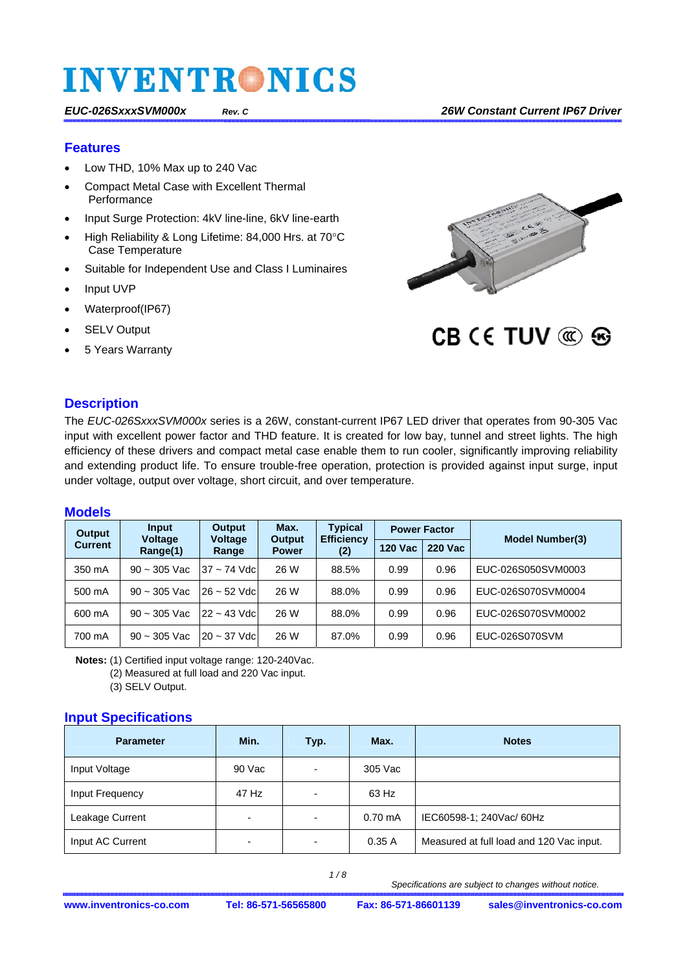#### **Features**

- Low THD, 10% Max up to 240 Vac
- Compact Metal Case with Excellent Thermal **Performance**
- Input Surge Protection: 4kV line-line, 6kV line-earth
- High Reliability & Long Lifetime: 84,000 Hrs. at 70°C Case Temperature
- Suitable for Independent Use and Class I Luminaires
- Input UVP
- Waterproof(IP67)
- SELV Output
- 5 Years Warranty



CB CE TUV @ &

#### **Description**

The *EUC-026SxxxSVM000x* series is a 26W, constant-current IP67 LED driver that operates from 90-305 Vac input with excellent power factor and THD feature. It is created for low bay, tunnel and street lights. The high efficiency of these drivers and compact metal case enable them to run cooler, significantly improving reliability and extending product life. To ensure trouble-free operation, protection is provided against input surge, input under voltage, output over voltage, short circuit, and over temperature.

#### **Models**

| <b>Output</b>  | Input<br><b>Voltage</b> | Output<br><b>Voltage</b> | Max.<br><b>Output</b> | <b>Typical</b><br><b>Efficiency</b><br>(2) | <b>Power Factor</b> |                | <b>Model Number(3)</b> |
|----------------|-------------------------|--------------------------|-----------------------|--------------------------------------------|---------------------|----------------|------------------------|
| <b>Current</b> | Range(1)                | Range                    | <b>Power</b>          |                                            | <b>120 Vac</b>      | <b>220 Vac</b> |                        |
| 350 mA         | $90 - 305$ Vac          | $37 - 74$ Vdc            | 26 W                  | 88.5%                                      | 0.99                | 0.96           | EUC-026S050SVM0003     |
| 500 mA         | $90 - 305$ Vac          | $26 - 52$ Vdc            | 26 W                  | 88.0%                                      | 0.99                | 0.96           | EUC-026S070SVM0004     |
| 600 mA         | $90 - 305$ Vac          | $22 - 43$ Vdc            | 26 W                  | 88.0%                                      | 0.99                | 0.96           | EUC-026S070SVM0002     |
| 700 mA         | $90 - 305$ Vac          | $20 - 37$ Vdc            | 26 W                  | 87.0%                                      | 0.99                | 0.96           | EUC-026S070SVM         |

**Notes:** (1) Certified input voltage range: 120-240Vac.

(2) Measured at full load and 220 Vac input.

(3) SELV Output.

#### **Input Specifications**

| <b>Parameter</b> | Min.                     | Typ.                     | Max.              | <b>Notes</b>                             |
|------------------|--------------------------|--------------------------|-------------------|------------------------------------------|
| Input Voltage    | 90 Vac                   | -                        | 305 Vac           |                                          |
| Input Frequency  | 47 Hz                    | -                        | 63 Hz             |                                          |
| Leakage Current  | $\overline{\phantom{0}}$ | $\overline{\phantom{a}}$ | $0.70 \text{ mA}$ | IEC60598-1; 240Vac/ 60Hz                 |
| Input AC Current | $\overline{\phantom{0}}$ | -                        | 0.35A             | Measured at full load and 120 Vac input. |

 *1 / 8*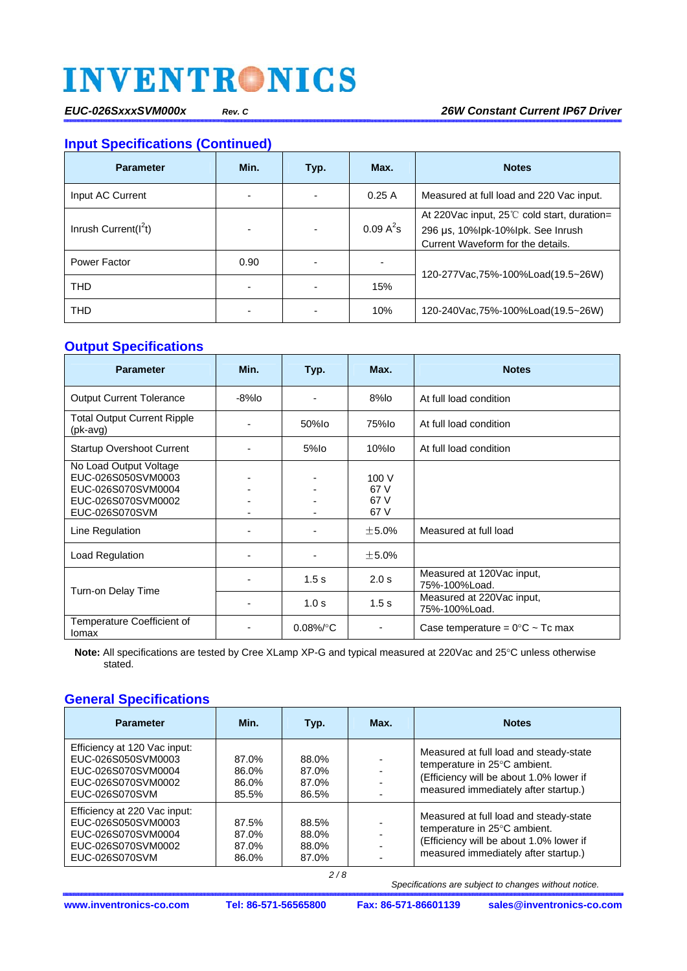*EUC-026SxxxSVM000x Rev. C 26W Constant Current IP67 Driver* 

### **Input Specifications (Continued)**

| <b>Parameter</b>         | Min. | Typ. | Max.         | <b>Notes</b>                                                                                                                        |
|--------------------------|------|------|--------------|-------------------------------------------------------------------------------------------------------------------------------------|
| Input AC Current         |      |      | 0.25A        | Measured at full load and 220 Vac input.                                                                                            |
| Inrush Current( $I^2t$ ) |      |      | $0.09 A^2 s$ | At 220 Vac input, 25 <sup>°</sup> C cold start, duration=<br>296 µs, 10%lpk-10%lpk. See Inrush<br>Current Waveform for the details. |
| Power Factor             | 0.90 |      |              | 120-277 Vac, 75% - 100% Load (19.5~26W)                                                                                             |
| <b>THD</b>               |      |      | 15%          |                                                                                                                                     |
| <b>THD</b>               |      |      | 10%          | 120-240Vac,75%-100%Load(19.5~26W)                                                                                                   |

### **Output Specifications**

| <b>Parameter</b>                                                                                           | Min.  | Typ.                 | Max.                          | <b>Notes</b>                               |
|------------------------------------------------------------------------------------------------------------|-------|----------------------|-------------------------------|--------------------------------------------|
| <b>Output Current Tolerance</b>                                                                            | -8%lo |                      | 8%lo                          | At full load condition                     |
| <b>Total Output Current Ripple</b><br>(pk-avg)                                                             |       | 50%lo                | 75%lo                         | At full load condition                     |
| <b>Startup Overshoot Current</b>                                                                           |       | 5%lo                 | $10%$ lo                      | At full load condition                     |
| No Load Output Voltage<br>EUC-026S050SVM0003<br>EUC-026S070SVM0004<br>EUC-026S070SVM0002<br>EUC-026S070SVM |       |                      | 100 V<br>67 V<br>67 V<br>67 V |                                            |
| Line Regulation                                                                                            |       |                      | $\pm$ 5.0%                    | Measured at full load                      |
| Load Regulation                                                                                            |       |                      | $\pm$ 5.0%                    |                                            |
| Turn-on Delay Time                                                                                         |       | 1.5s                 | 2.0 s                         | Measured at 120Vac input,<br>75%-100%Load. |
|                                                                                                            |       | 1.0 <sub>s</sub>     | 1.5 <sub>s</sub>              | Measured at 220Vac input,<br>75%-100%Load. |
| Temperature Coefficient of<br>Iomax                                                                        |       | $0.08\%$ $\degree$ C |                               | Case temperature = $0^{\circ}$ C ~ Tc max  |

Note: All specifications are tested by Cree XLamp XP-G and typical measured at 220Vac and 25°C unless otherwise stated.

### **General Specifications**

| <b>Parameter</b>                                                                                                 | Min.                             | Typ.                             | Max. | <b>Notes</b>                                                                                                                                              |
|------------------------------------------------------------------------------------------------------------------|----------------------------------|----------------------------------|------|-----------------------------------------------------------------------------------------------------------------------------------------------------------|
| Efficiency at 120 Vac input:<br>EUC-026S050SVM0003<br>EUC-026S070SVM0004<br>EUC-026S070SVM0002<br>EUC-026S070SVM | 87.0%<br>86.0%<br>86.0%<br>85.5% | 88.0%<br>87.0%<br>87.0%<br>86.5% |      | Measured at full load and steady-state<br>temperature in 25°C ambient.<br>(Efficiency will be about 1.0% lower if<br>measured immediately after startup.) |
| Efficiency at 220 Vac input:<br>EUC-026S050SVM0003<br>EUC-026S070SVM0004<br>EUC-026S070SVM0002<br>EUC-026S070SVM | 87.5%<br>87.0%<br>87.0%<br>86.0% | 88.5%<br>88.0%<br>88.0%<br>87.0% |      | Measured at full load and steady-state<br>temperature in 25°C ambient.<br>(Efficiency will be about 1.0% lower if<br>measured immediately after startup.) |

 *Specifications are subject to changes without notice.*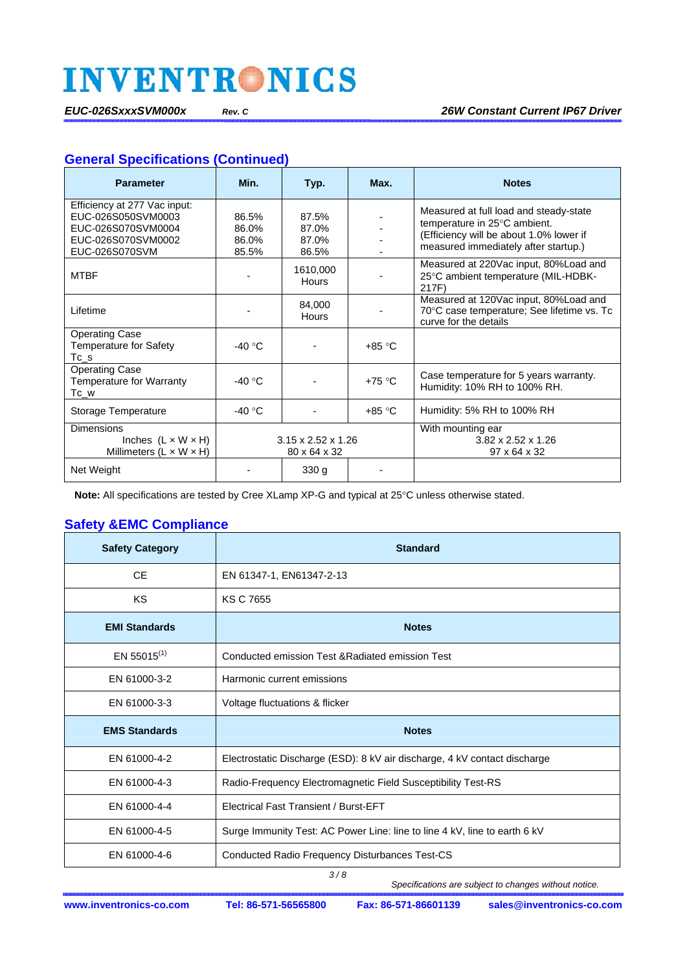### **General Specifications (Continued)**

| <b>Parameter</b>                                                                                                 | Min.                             | Typ.                                           | Max.     | <b>Notes</b>                                                                                                                                              |
|------------------------------------------------------------------------------------------------------------------|----------------------------------|------------------------------------------------|----------|-----------------------------------------------------------------------------------------------------------------------------------------------------------|
| Efficiency at 277 Vac input:<br>EUC-026S050SVM0003<br>EUC-026S070SVM0004<br>EUC-026S070SVM0002<br>EUC-026S070SVM | 86.5%<br>86.0%<br>86.0%<br>85.5% | 87.5%<br>87.0%<br>87.0%<br>86.5%               |          | Measured at full load and steady-state<br>temperature in 25°C ambient.<br>(Efficiency will be about 1.0% lower if<br>measured immediately after startup.) |
| <b>MTBF</b>                                                                                                      |                                  | 1610,000<br><b>Hours</b>                       |          | Measured at 220Vac input, 80%Load and<br>25°C ambient temperature (MIL-HDBK-<br>217F)                                                                     |
| Lifetime                                                                                                         |                                  | 84,000<br>Hours                                |          | Measured at 120Vac input, 80%Load and<br>70°C case temperature; See lifetime vs. Tc<br>curve for the details                                              |
| <b>Operating Case</b><br><b>Temperature for Safety</b><br>Tc_s                                                   | -40 $^{\circ}$ C                 |                                                | +85 °C   |                                                                                                                                                           |
| <b>Operating Case</b><br>Temperature for Warranty<br>$Tc_w$                                                      | $-40 °C$                         |                                                | $+75 °C$ | Case temperature for 5 years warranty.<br>Humidity: 10% RH to 100% RH.                                                                                    |
| Storage Temperature                                                                                              | -40 $^{\circ}$ C                 |                                                | +85 °C   | Humidity: 5% RH to 100% RH                                                                                                                                |
| Dimensions<br>Inches $(L \times W \times H)$<br>Millimeters $(L \times W \times H)$                              |                                  | $3.15 \times 2.52 \times 1.26$<br>80 x 64 x 32 |          | With mounting ear<br>$3.82 \times 2.52 \times 1.26$<br>97 x 64 x 32                                                                                       |
| Net Weight                                                                                                       |                                  | 330 <sub>g</sub>                               |          |                                                                                                                                                           |

Note: All specifications are tested by Cree XLamp XP-G and typical at 25°C unless otherwise stated.

## **Safety &EMC Compliance**

| <b>Safety Category</b> | <b>Standard</b>                                                           |
|------------------------|---------------------------------------------------------------------------|
| <b>CE</b>              | EN 61347-1, EN61347-2-13                                                  |
| KS.                    | <b>KS C 7655</b>                                                          |
| <b>EMI Standards</b>   | <b>Notes</b>                                                              |
| EN 55015 $(1)$         | Conducted emission Test & Radiated emission Test                          |
| EN 61000-3-2           | Harmonic current emissions                                                |
| EN 61000-3-3           | Voltage fluctuations & flicker                                            |
| <b>EMS Standards</b>   | <b>Notes</b>                                                              |
| EN 61000-4-2           | Electrostatic Discharge (ESD): 8 kV air discharge, 4 kV contact discharge |
| EN 61000-4-3           | Radio-Frequency Electromagnetic Field Susceptibility Test-RS              |
| EN 61000-4-4           | <b>Electrical Fast Transient / Burst-EFT</b>                              |
| EN 61000-4-5           | Surge Immunity Test: AC Power Line: line to line 4 kV, line to earth 6 kV |
| EN 61000-4-6           | Conducted Radio Frequency Disturbances Test-CS                            |

 *3 / 8*

 *Specifications are subject to changes without notice.*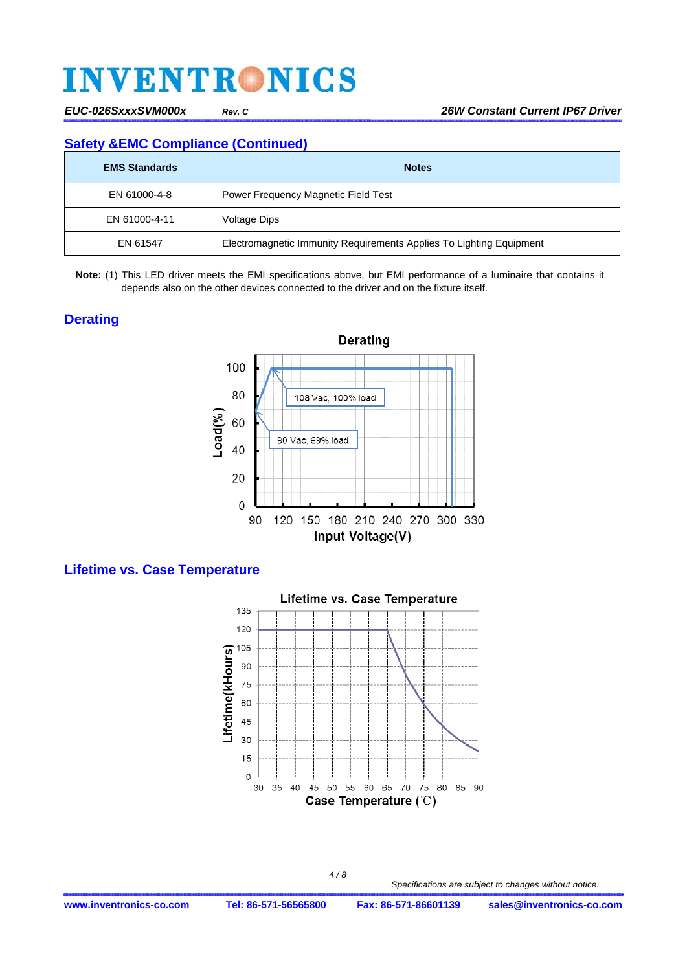### **Safety &EMC Compliance (Continued)**

| <b>EMS Standards</b> | <b>Notes</b>                                                        |
|----------------------|---------------------------------------------------------------------|
| EN 61000-4-8         | Power Frequency Magnetic Field Test                                 |
| EN 61000-4-11        | Voltage Dips                                                        |
| EN 61547             | Electromagnetic Immunity Requirements Applies To Lighting Equipment |

**Note:** (1) This LED driver meets the EMI specifications above, but EMI performance of a luminaire that contains it depends also on the other devices connected to the driver and on the fixture itself.

#### **Derating**



### **Lifetime vs. Case Temperature**

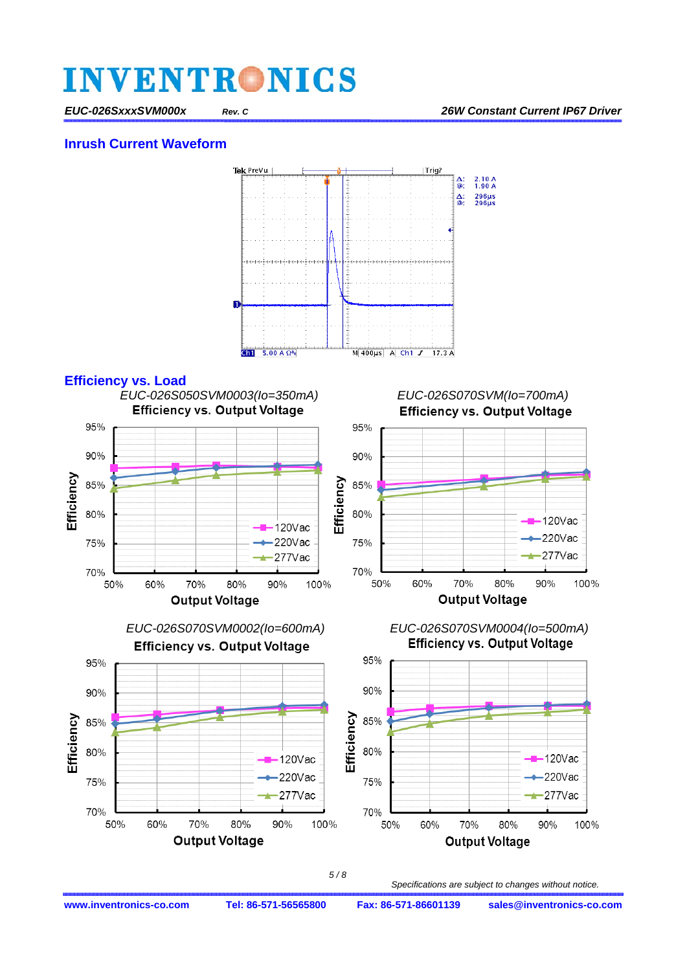#### *EUC-026SxxxSVM000x Rev. C 26W Constant Current IP67 Driver*

#### **Inrush Current Waveform**





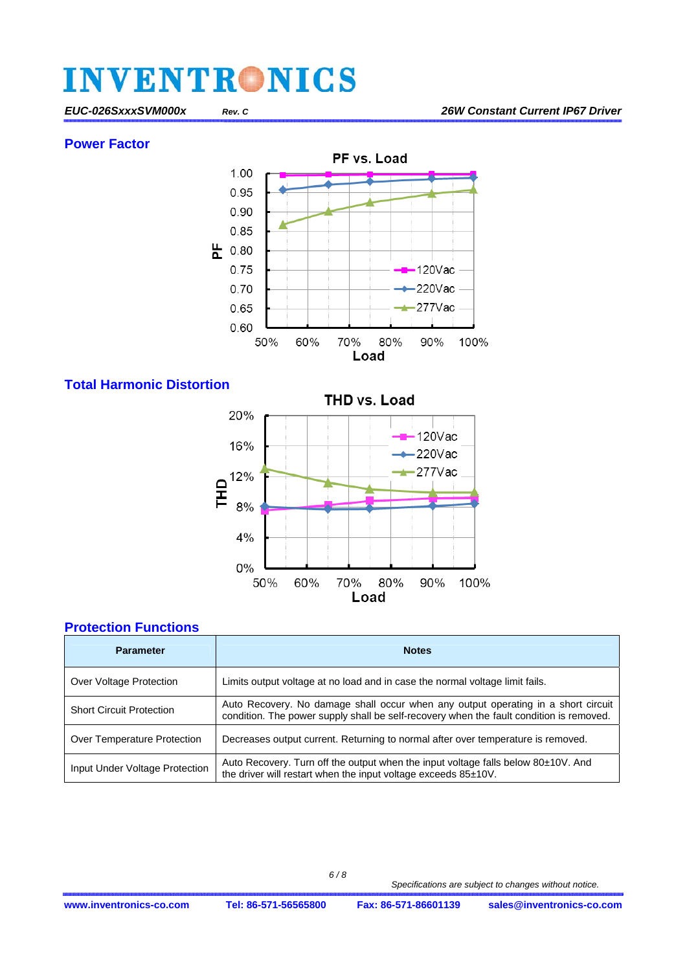**Power Factor** 



### **Total Harmonic Distortion**



### **Protection Functions**

| <b>Parameter</b>                | <b>Notes</b>                                                                                                                                                                 |
|---------------------------------|------------------------------------------------------------------------------------------------------------------------------------------------------------------------------|
| Over Voltage Protection         | Limits output voltage at no load and in case the normal voltage limit fails.                                                                                                 |
| <b>Short Circuit Protection</b> | Auto Recovery. No damage shall occur when any output operating in a short circuit<br>condition. The power supply shall be self-recovery when the fault condition is removed. |
| Over Temperature Protection     | Decreases output current. Returning to normal after over temperature is removed.                                                                                             |
| Input Under Voltage Protection  | Auto Recovery. Turn off the output when the input voltage falls below 80±10V. And<br>the driver will restart when the input voltage exceeds 85±10V.                          |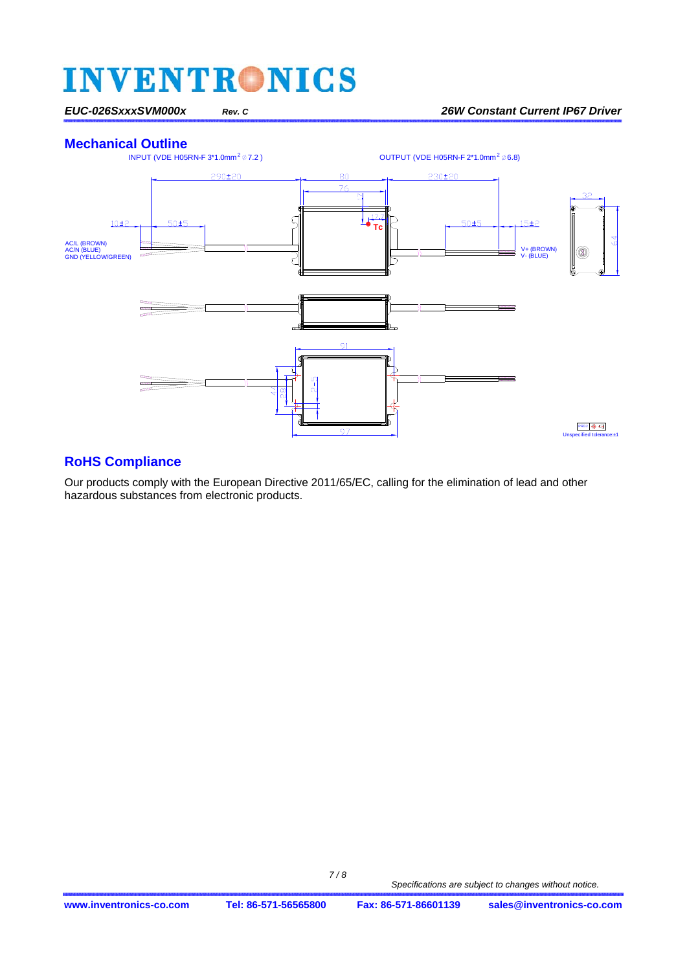*EUC-026SxxxSVM000x Rev. C 26W Constant Current IP67 Driver* 



#### **RoHS Compliance**

Our products comply with the European Directive 2011/65/EC, calling for the elimination of lead and other hazardous substances from electronic products.